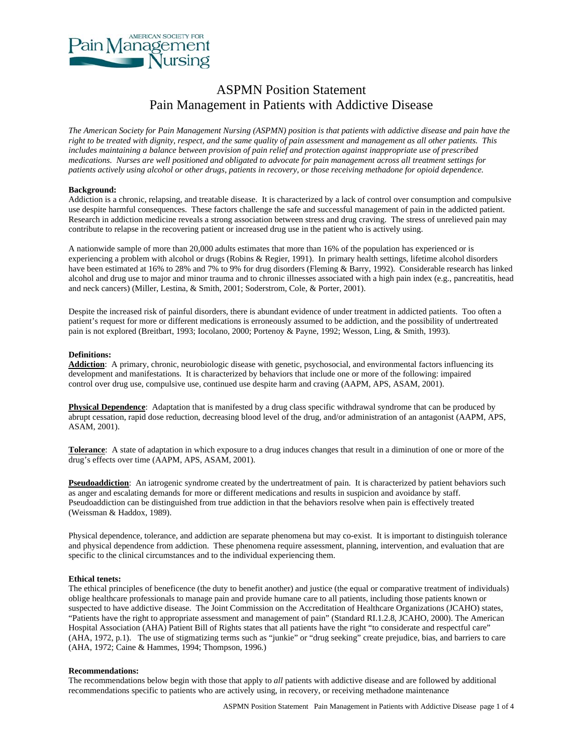

# ASPMN Position Statement Pain Management in Patients with Addictive Disease

*The American Society for Pain Management Nursing (ASPMN) position is that patients with addictive disease and pain have the right to be treated with dignity, respect, and the same quality of pain assessment and management as all other patients. This includes maintaining a balance between provision of pain relief and protection against inappropriate use of prescribed medications. Nurses are well positioned and obligated to advocate for pain management across all treatment settings for patients actively using alcohol or other drugs, patients in recovery, or those receiving methadone for opioid dependence.* 

# **Background:**

Addiction is a chronic, relapsing, and treatable disease. It is characterized by a lack of control over consumption and compulsive use despite harmful consequences. These factors challenge the safe and successful management of pain in the addicted patient. Research in addiction medicine reveals a strong association between stress and drug craving. The stress of unrelieved pain may contribute to relapse in the recovering patient or increased drug use in the patient who is actively using.

A nationwide sample of more than 20,000 adults estimates that more than 16% of the population has experienced or is experiencing a problem with alcohol or drugs (Robins & Regier, 1991). In primary health settings, lifetime alcohol disorders have been estimated at 16% to 28% and 7% to 9% for drug disorders (Fleming & Barry, 1992). Considerable research has linked alcohol and drug use to major and minor trauma and to chronic illnesses associated with a high pain index (e.g., pancreatitis, head and neck cancers) (Miller, Lestina, & Smith, 2001; Soderstrom, Cole, & Porter, 2001).

Despite the increased risk of painful disorders, there is abundant evidence of under treatment in addicted patients. Too often a patient's request for more or different medications is erroneously assumed to be addiction, and the possibility of undertreated pain is not explored (Breitbart, 1993; Iocolano, 2000; Portenoy & Payne, 1992; Wesson, Ling, & Smith, 1993).

### **Definitions:**

**Addiction**: A primary, chronic, neurobiologic disease with genetic, psychosocial, and environmental factors influencing its development and manifestations. It is characterized by behaviors that include one or more of the following: impaired control over drug use, compulsive use, continued use despite harm and craving (AAPM, APS, ASAM, 2001).

**Physical Dependence**: Adaptation that is manifested by a drug class specific withdrawal syndrome that can be produced by abrupt cessation, rapid dose reduction, decreasing blood level of the drug, and/or administration of an antagonist (AAPM, APS, ASAM, 2001).

**Tolerance**: A state of adaptation in which exposure to a drug induces changes that result in a diminution of one or more of the drug's effects over time (AAPM, APS, ASAM, 2001).

**Pseudoaddiction**: An iatrogenic syndrome created by the undertreatment of pain. It is characterized by patient behaviors such as anger and escalating demands for more or different medications and results in suspicion and avoidance by staff. Pseudoaddiction can be distinguished from true addiction in that the behaviors resolve when pain is effectively treated (Weissman & Haddox, 1989).

Physical dependence, tolerance, and addiction are separate phenomena but may co-exist. It is important to distinguish tolerance and physical dependence from addiction. These phenomena require assessment, planning, intervention, and evaluation that are specific to the clinical circumstances and to the individual experiencing them.

#### **Ethical tenets:**

The ethical principles of beneficence (the duty to benefit another) and justice (the equal or comparative treatment of individuals) oblige healthcare professionals to manage pain and provide humane care to all patients, including those patients known or suspected to have addictive disease. The Joint Commission on the Accreditation of Healthcare Organizations (JCAHO) states, "Patients have the right to appropriate assessment and management of pain" (Standard RI.1.2.8, JCAHO, 2000). The American Hospital Association (AHA) Patient Bill of Rights states that all patients have the right "to considerate and respectful care" (AHA, 1972, p.1). The use of stigmatizing terms such as "junkie" or "drug seeking" create prejudice, bias, and barriers to care (AHA, 1972; Caine & Hammes, 1994; Thompson, 1996.)

## **Recommendations:**

The recommendations below begin with those that apply to *all* patients with addictive disease and are followed by additional recommendations specific to patients who are actively using, in recovery, or receiving methadone maintenance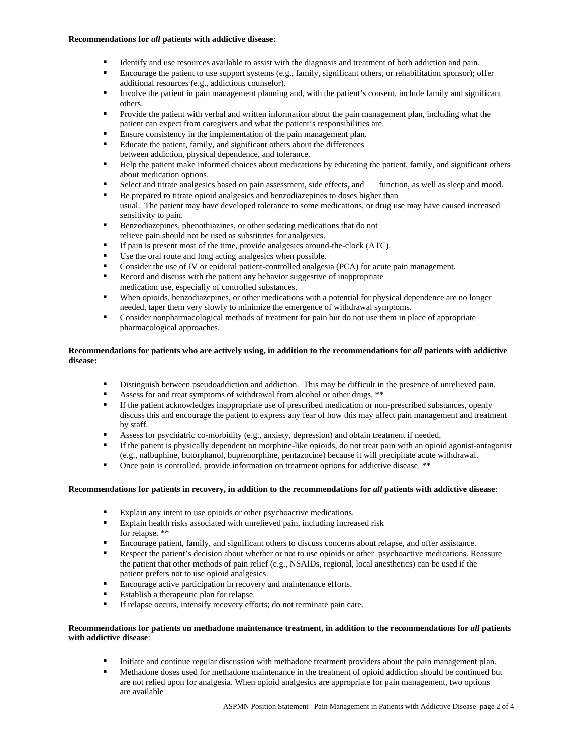## **Recommendations for** *all* **patients with addictive disease:**

- Identify and use resources available to assist with the diagnosis and treatment of both addiction and pain.
- **Encourage the patient to use support systems (e.g., family, significant others, or rehabilitation sponsor); offer** additional resources (e.g., addictions counselor).
- Involve the patient in pain management planning and, with the patient's consent, include family and significant others.
- Provide the patient with verbal and written information about the pain management plan, including what the patient can expect from caregivers and what the patient's responsibilities are.
- Ensure consistency in the implementation of the pain management plan.
- Educate the patient, family, and significant others about the differences between addiction, physical dependence, and tolerance.
- Help the patient make informed choices about medications by educating the patient, family, and significant others about medication options.
- Select and titrate analgesics based on pain assessment, side effects, and function, as well as sleep and mood.
- Be prepared to titrate opioid analgesics and benzodiazepines to doses higher than usual. The patient may have developed tolerance to some medications, or drug use may have caused increased sensitivity to pain.
- Benzodiazepines, phenothiazines, or other sedating medications that do not relieve pain should not be used as substitutes for analgesics.
- If pain is present most of the time, provide analgesics around-the-clock (ATC).
- Use the oral route and long acting analgesics when possible.
- Consider the use of IV or epidural patient-controlled analgesia (PCA) for acute pain management.
- Record and discuss with the patient any behavior suggestive of inappropriate
- medication use, especially of controlled substances.
- When opioids, benzodiazepines, or other medications with a potential for physical dependence are no longer needed, taper them very slowly to minimize the emergence of withdrawal symptoms.
- Consider nonpharmacological methods of treatment for pain but do not use them in place of appropriate pharmacological approaches.

# **Recommendations for patients who are actively using, in addition to the recommendations for** *all* **patients with addictive disease:**

- Distinguish between pseudoaddiction and addiction. This may be difficult in the presence of unrelieved pain.
- Assess for and treat symptoms of withdrawal from alcohol or other drugs. \*\*<br> **F** If the nation acknowledges inappropriate use of prescribed medication or nor
- If the patient acknowledges inappropriate use of prescribed medication or non-prescribed substances, openly discuss this and encourage the patient to express any fear of how this may affect pain management and treatment by staff.
- Assess for psychiatric co-morbidity (e.g., anxiety, depression) and obtain treatment if needed.
- If the patient is physically dependent on morphine-like opioids, do not treat pain with an opioid agonist-antagonist (e.g., nalbuphine, butorphanol, buprenorphine, pentazocine) because it will precipitate acute withdrawal.
- Once pain is controlled, provide information on treatment options for addictive disease. \*\*

# **Recommendations for patients in recovery, in addition to the recommendations for** *all* **patients with addictive disease**:

- Explain any intent to use opioids or other psychoactive medications.
- Explain health risks associated with unrelieved pain, including increased risk for relapse. \*\*
- Encourage patient, family, and significant others to discuss concerns about relapse, and offer assistance.
- **Respect the patient's decision about whether or not to use opioids or other psychoactive medications. Reassure** the patient that other methods of pain relief (e.g., NSAIDs, regional, local anesthetics) can be used if the patient prefers not to use opioid analgesics.
- **Encourage active participation in recovery and maintenance efforts.**
- Establish a therapeutic plan for relapse.
- If relapse occurs, intensify recovery efforts; do not terminate pain care.

# **Recommendations for patients on methadone maintenance treatment, in addition to the recommendations for** *all* **patients with addictive disease**:

- Initiate and continue regular discussion with methadone treatment providers about the pain management plan.
- Methadone doses used for methadone maintenance in the treatment of opioid addiction should be continued but are not relied upon for analgesia. When opioid analgesics are appropriate for pain management, two options are available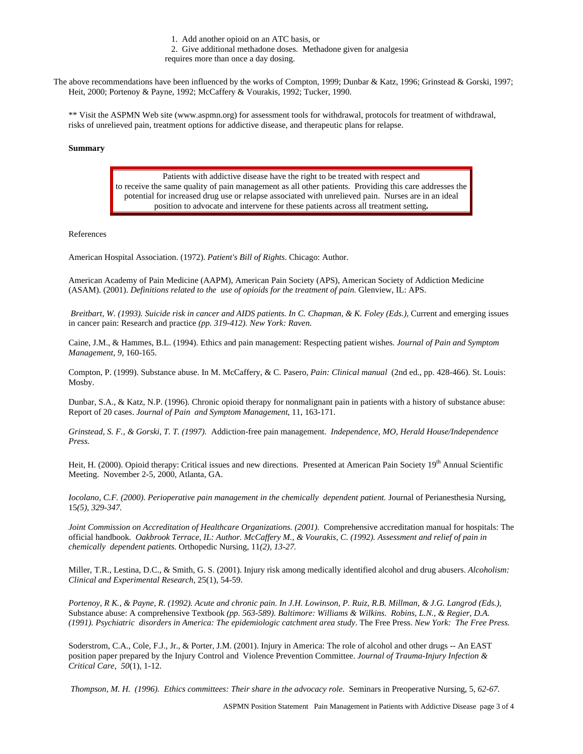1. Add another opioid on an ATC basis, or

2. Give additional methadone doses. Methadone given for analgesia

requires more than once a day dosing.

 The above recommendations have been influenced by the works of Compton, 1999; Dunbar & Katz, 1996; Grinstead & Gorski, 1997; Heit, 2000; Portenoy & Payne, 1992; McCaffery & Vourakis, 1992; Tucker, 1990.

\*\* Visit the ASPMN Web site (www.aspmn.org) for assessment tools for withdrawal, protocols for treatment of withdrawal, risks of unrelieved pain, treatment options for addictive disease, and therapeutic plans for relapse.

# **Summary**

Patients with addictive disease have the right to be treated with respect and to receive the same quality of pain management as all other patients. Providing this care addresses the potential for increased drug use or relapse associated with unrelieved pain. Nurses are in an ideal position to advocate and intervene for these patients across all treatment setting**.**

# References

American Hospital Association. (1972). *Patient's Bill of Rights*. Chicago: Author.

American Academy of Pain Medicine (AAPM), American Pain Society (APS), American Society of Addiction Medicine (ASAM). (2001). *Definitions related to the use of opioids for the treatment of pain*. Glenview, IL: APS.

 *Breitbart, W. (1993). Suicide risk in cancer and AIDS patients. In C. Chapman, & K. Foley (Eds.),* Current and emerging issues in cancer pain: Research and practice *(pp. 319-412). New York: Raven.* 

Caine, J.M., & Hammes, B.L. (1994). Ethics and pain management: Respecting patient wishes. *Journal of Pain and Symptom Management*, *9*, 160-165.

Compton, P. (1999). Substance abuse. In M. McCaffery, & C. Pasero, *Pain: Clinical manual* (2nd ed., pp. 428-466). St. Louis: Mosby.

Dunbar, S.A., & Katz, N.P. (1996). Chronic opioid therapy for nonmalignant pain in patients with a history of substance abuse: Report of 20 cases. *Journal of Pain and Symptom Management*, 11, 163-171.

*Grinstead, S. F., & Gorski, T. T. (1997).* Addiction-free pain management. *Independence, MO, Herald House/Independence Press.* 

Heit, H. (2000). Opioid therapy: Critical issues and new directions. Presented at American Pain Society 19th Annual Scientific Meeting. November 2-5, 2000, Atlanta, GA.

*Iocolano, C.F. (2000). Perioperative pain management in the chemically dependent patient. Journal of Perianesthesia Nursing,* 15*(5), 329-347.* 

*Joint Commission on Accreditation of Healthcare Organizations. (2001).* Comprehensive accreditation manual for hospitals: The official handbook*. Oakbrook Terrace, IL: Author. McCaffery M., & Vourakis, C. (1992). Assessment and relief of pain in chemically dependent patients.* Orthopedic Nursing*,* 11*(2), 13-27.* 

Miller, T.R., Lestina, D.C., & Smith, G. S. (2001). Injury risk among medically identified alcohol and drug abusers. *Alcoholism: Clinical and Experimental Research*, 25(1), 54-59.

*Portenoy, R K., & Payne, R. (1992). Acute and chronic pain*. *In J.H. Lowinson, P. Ruiz, R.B. Millman, & J.G. Langrod (Eds.),*  Substance abuse: A comprehensive Textbook *(pp. 563-589). Baltimore: Williams & Wilkins. Robins, L.N., & Regier, D.A. (1991). Psychiatric disorders in America: The epidemiologic catchment area study*. The Free Press. *New York: The Free Press.* 

Soderstrom, C.A., Cole, F.J., Jr., & Porter, J.M. (2001). Injury in America: The role of alcohol and other drugs -- An EAST position paper prepared by the Injury Control and Violence Prevention Committee. *Journal of Trauma-Injury Infection & Critical Care*, *50*(1), 1-12.

 *Thompson, M. H. (1996). Ethics committees: Their share in the advocacy role.* Seminars in Preoperative Nursing*,* 5*, 62-67.* 

ASPMN Position Statement Pain Management in Patients with Addictive Disease page 3 of 4